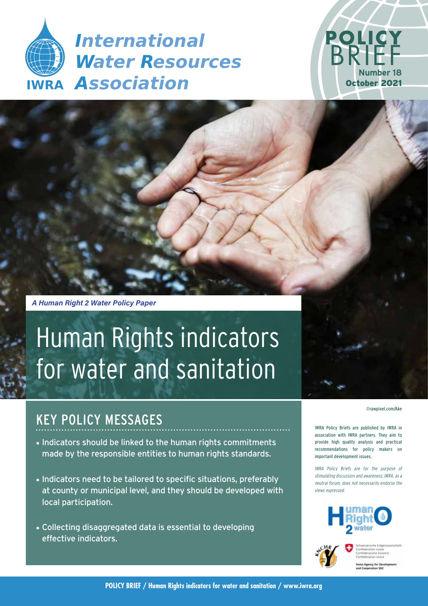



*A Human Right 2 Water Policy Paper*

# Human Rights indicators for water and sanitation

# KEY POLICY MESSAGES

- Indicators should be linked to the human rights commitments made by the responsible entities to human rights standards.
- Indicators need to be tailored to specific situations, preferably at county or municipal level, and they should be developed with local participation.
- Collecting disaggregated data is essential to developing effective indicators.

#### ©rawpixel.com/Ake

IWRA Policy Briefs are published by IWRA in association with IWRA partners. They aim to provide high quality analysis and practical recommendations for policy makers on important development issues.

IWRA Policy Briefs are for the purpose of stimulating discussion and awareness; IWRA, as a neutral forum, does not necessarily endorse the views expressed.



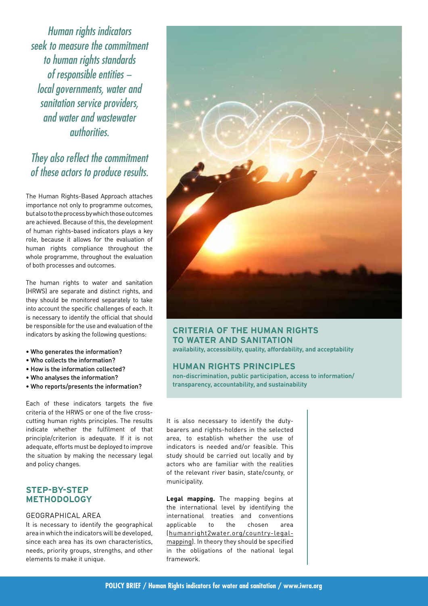Human rights indicators seek to measure the commitment to human rights standards of responsible entities − local governments, water and sanitation service providers, and water and wastewater authorities.

# They also reflect the commitment of these actors to produce results.

The Human Rights-Based Approach attaches importance not only to programme outcomes, but also to the process by which those outcomes are achieved. Because of this, the development of human rights-based indicators plays a key role, because it allows for the evaluation of human rights compliance throughout the whole programme, throughout the evaluation of both processes and outcomes.

The human rights to water and sanitation (HRWS) are separate and distinct rights, and they should be monitored separately to take into account the specific challenges of each. It is necessary to identify the official that should be responsible for the use and evaluation of the indicators by asking the following questions:

- Who generates the information?
- Who collects the information?
- How is the information collected?
- Who analyses the information?
- Who reports/presents the information?

Each of these indicators targets the five criteria of the HRWS or one of the five crosscutting human rights principles. The results indicate whether the fulfilment of that principle/criterion is adequate. If it is not adequate, efforts must be deployed to improve the situation by making the necessary legal and policy changes.

# **STEP-BY-STEP METHODOLOGY**

## GEOGRAPHICAL AREA

It is necessary to identify the geographical area in which the indicators will be developed, since each area has its own characteristics, needs, priority groups, strengths, and other elements to make it unique.



# **CRITERIA OF THE HUMAN RIGHTS TO WATER AND SANITATION**

**availability, accessibility, quality, affordability, and acceptability**

## **HUMAN RIGHTS PRINCIPLES**

**non-discrimination, public participation, access to information/ transparency, accountability, and sustainability**

It is also necessary to identify the dutybearers and rights-holders in the selected area, to establish whether the use of indicators is needed and/or feasible. This study should be carried out locally and by actors who are familiar with the realities of the relevant river basin, state/county, or municipality.

**Legal mapping.** The mapping begins at the international level by identifying the international treaties and conventions applicable to the chosen area ([humanright2water.org/country-legal](http://humanright2water.org/country-legal-mapping)[mapping\)](http://humanright2water.org/country-legal-mapping). In theory they should be specified in the obligations of the national legal framework.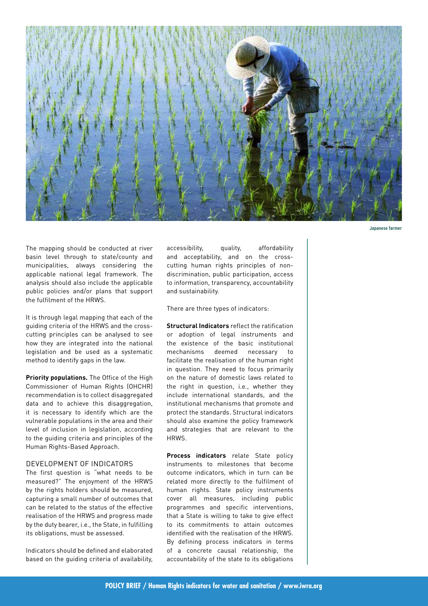

**Japanese farmer** 

The mapping should be conducted at river basin level through to state/county and municipalities, always considering the applicable national legal framework. The analysis should also include the applicable public policies and/or plans that support the fulfilment of the HRWS.

It is through legal mapping that each of the guiding criteria of the HRWS and the crosscutting principles can be analysed to see how they are integrated into the national legislation and be used as a systematic method to identify gaps in the law.

**Priority populations.** The Office of the High Commissioner of Human Rights (OHCHR) recommendation is to collect disaggregated data and to achieve this disaggregation, it is necessary to identify which are the vulnerable populations in the area and their level of inclusion in legislation, according to the guiding criteria and principles of the Human Rights-Based Approach.

#### DEVELOPMENT OF INDICATORS

The first question is "what needs to be measured?" The enjoyment of the HRWS by the rights holders should be measured, capturing a small number of outcomes that can be related to the status of the effective realisation of the HRWS and progress made by the duty bearer, i.e., the State, in fulfilling its obligations, must be assessed.

Indicators should be defined and elaborated based on the guiding criteria of availability,

accessibility, quality, affordability and acceptability, and on the crosscutting human rights principles of nondiscrimination, public participation, access to information, transparency, accountability and sustainability.

There are three types of indicators:

**Structural Indicators** reflect the ratification or adoption of legal instruments and the existence of the basic institutional mechanisms deemed necessary to facilitate the realisation of the human right in question. They need to focus primarily on the nature of domestic laws related to the right in question, i.e., whether they include international standards, and the institutional mechanisms that promote and protect the standards. Structural indicators should also examine the policy framework and strategies that are relevant to the HRWS.

**Process indicators** relate State policy instruments to milestones that become outcome indicators, which in turn can be related more directly to the fulfilment of human rights. State policy instruments cover all measures, including public programmes and specific interventions, that a State is willing to take to give effect to its commitments to attain outcomes identified with the realisation of the HRWS. By defining process indicators in terms of a concrete causal relationship, the accountability of the state to its obligations